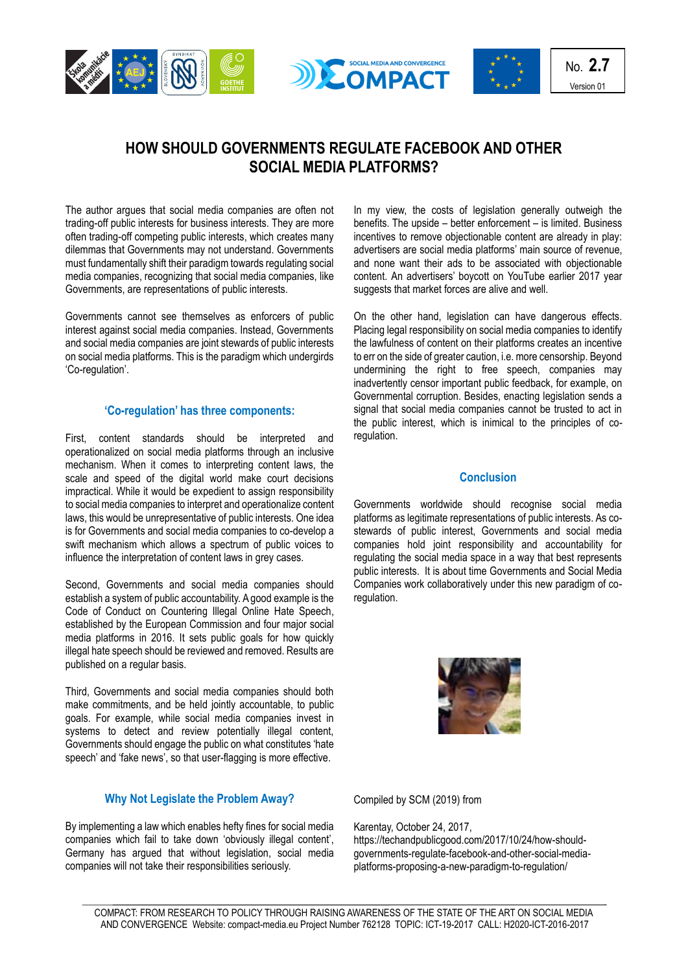





No. **2.7** Version 01

## **HOW SHOULD GOVERNMENTS REGULATE FACEBOOK AND OTHER SOCIAL MEDIA PLATFORMS?**

The author argues that social media companies are often not trading-off public interests for business interests. They are more often trading-off competing public interests, which creates many dilemmas that Governments may not understand. Governments must fundamentally shift their paradigm towards regulating social media companies, recognizing that social media companies, like Governments, are representations of public interests.

Governments cannot see themselves as enforcers of public interest against social media companies. Instead, Governments and social media companies are joint stewards of public interests on social media platforms. This is the paradigm which undergirds 'Co-regulation'.

## **'Co-regulation' has three components:**

First, content standards should be interpreted and operationalized on social media platforms through an inclusive mechanism. When it comes to interpreting content laws, the scale and speed of the digital world make court decisions impractical. While it would be expedient to assign responsibility to social media companies to interpret and operationalize content laws, this would be unrepresentative of public interests. One idea is for Governments and social media companies to co-develop a swift mechanism which allows a spectrum of public voices to influence the interpretation of content laws in grey cases.

Second, Governments and social media companies should establish a system of public accountability. A good example is the [Code of Conduct on Countering Illegal Online Hate Speech,](http://europa.eu/rapid/press-release_IP-17-1471_en.htm) established by the European Commission and four major social media platforms in 2016. It sets public goals for how quickly illegal hate speech should be reviewed and removed. Results are published on a regular basis.

Third, Governments and social media companies should both make commitments, and be held jointly accountable, to public goals. For example, while social media companies invest in systems to detect and review potentially illegal content, Governments should engage the public on what constitutes 'hate speech' and 'fake news', so that user-flagging is more effective.

## **Why Not Legislate the Problem Away?**

By implementing a law which enables hefty fines for social media companies which fail to take down 'obviously illegal content', Germany has argued that without legislation, social media companies will not take their responsibilities seriously.

In my view, the costs of legislation generally outweigh the benefits. The upside – better enforcement – is limited. Business incentives to remove objectionable content are already in play: advertisers are social media platforms' main source of revenue, and none want their ads to be associated with objectionable content. An advertisers' [boycott on YouTube earlier 2017 year](https://www.theguardian.com/technology/2017/mar/23/youtube-google-boycott-att-verizon-pull-adverts-extremism) suggests that market forces are alive and well.

On the other hand, legislation can have dangerous effects. Placing legal responsibility on social media companies to identify the lawfulness of content on their platforms creates an incentive to err on the side of greater caution, i.e. more censorship. Beyond undermining the right to free speech, companies may inadvertently censor important public feedback, for example, on Governmental corruption. Besides, enacting legislation sends a signal that social media companies cannot be trusted to act in the public interest, which is inimical to the principles of coregulation.

## **Conclusion**

Governments worldwide should recognise social media platforms as legitimate representations of public interests. As costewards of public interest, Governments and social media companies hold joint responsibility and accountability for regulating the social media space in a way that best represents public interests. It is about time Governments and Social Media Companies work collaboratively under this new paradigm of coregulation.



Compiled by SCM (2019) from

Karentay, [October 24, 2017,](https://techandpublicgood.com/2017/10/24/how-should-governments-regulate-facebook-and-other-social-media-platforms-proposing-a-new-paradigm-to-regulation/)

https://techandpublicgood.com/2017/10/24/how-shouldgovernments-regulate-facebook-and-other-social-mediaplatforms-proposing-a-new-paradigm-to-regulation/